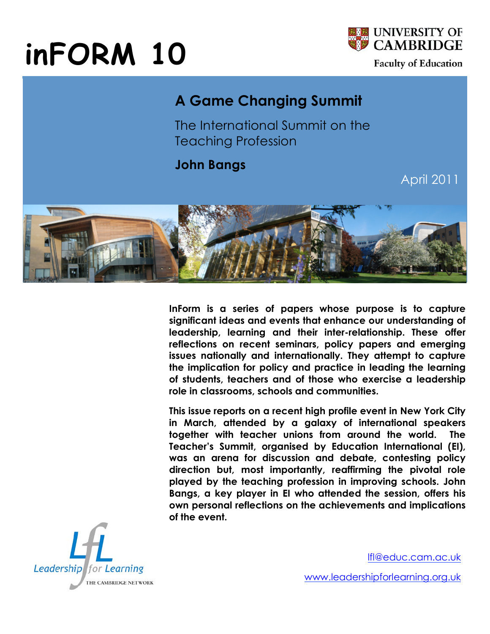## **inFORM 10**



**Faculty of Education** 

## **A Game Changing Summit**

The International Summit on the Teaching Profession

**John Bangs**

April 2011



**InForm is a series of papers whose purpose is to capture significant ideas and events that enhance our understanding of leadership, learning and their inter-relationship. These offer reflections on recent seminars, policy papers and emerging issues nationally and internationally. They attempt to capture the implication for policy and practice in leading the learning of students, teachers and of those who exercise a leadership role in classrooms, schools and communities.** 

**This issue reports on a recent high profile event in New York City in March, attended by a galaxy of international speakers together with teacher unions from around the world. The Teacher's Summit, organised by Education International (EI), was an arena for discussion and debate, contesting policy direction but, most importantly, reaffirming the pivotal role played by the teaching profession in improving schools. John Bangs, a key player in EI who attended the session, offers his own personal reflections on the achievements and implications of the event.**



lfl@educ.cam.ac.uk

www.leadershipforlearning.org.uk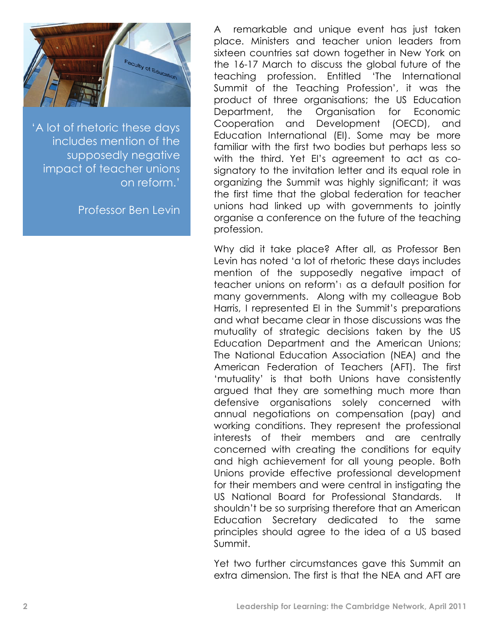

'A lot of rhetoric these days includes mention of the supposedly negative impact of teacher unions on reform.'

Professor Ben Levin

A remarkable and unique event has just taken place. Ministers and teacher union leaders from sixteen countries sat down together in New York on the 16-17 March to discuss the global future of the teaching profession. Entitled 'The International Summit of the Teaching Profession', it was the product of three organisations; the US Education Department, the Organisation for Economic Cooperation and Development (OECD), and Education International (EI). Some may be more familiar with the first two bodies but perhaps less so with the third. Yet EI's agreement to act as cosignatory to the invitation letter and its equal role in organizing the Summit was highly significant; it was the first time that the global federation for teacher unions had linked up with governments to jointly organise a conference on the future of the teaching profession.

Why did it take place? After all, as Professor Ben Levin has noted 'a lot of rhetoric these days includes mention of the supposedly negative impact of teacher unions on reform'1 as a default position for many governments. Along with my colleague Bob Harris, I represented EI in the Summit's preparations and what became clear in those discussions was the mutuality of strategic decisions taken by the US Education Department and the American Unions; The National Education Association (NEA) and the American Federation of Teachers (AFT). The first 'mutuality' is that both Unions have consistently argued that they are something much more than defensive organisations solely concerned with annual negotiations on compensation (pay) and working conditions. They represent the professional interests of their members and are centrally concerned with creating the conditions for equity and high achievement for all young people. Both Unions provide effective professional development for their members and were central in instigating the US National Board for Professional Standards. It shouldn't be so surprising therefore that an American Education Secretary dedicated to the same principles should agree to the idea of a US based Summit.

Yet two further circumstances gave this Summit an extra dimension. The first is that the NEA and AFT are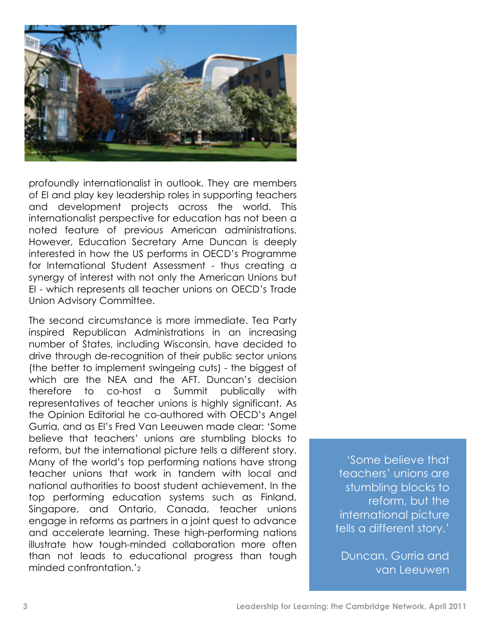

profoundly internationalist in outlook. They are members of EI and play key leadership roles in supporting teachers and development projects across the world. This internationalist perspective for education has not been a noted feature of previous American administrations. However, Education Secretary Arne Duncan is deeply interested in how the US performs in OECD's Programme for International Student Assessment - thus creating a synergy of interest with not only the American Unions but EI - which represents all teacher unions on OECD's Trade Union Advisory Committee.

The second circumstance is more immediate. Tea Party inspired Republican Administrations in an increasing number of States, including Wisconsin, have decided to drive through de-recognition of their public sector unions (the better to implement swingeing cuts) - the biggest of which are the NEA and the AFT. Duncan's decision therefore to co-host a Summit publically with representatives of teacher unions is highly significant. As the Opinion Editorial he co-authored with OECD's Angel Gurria, and as EI's Fred Van Leeuwen made clear: 'Some believe that teachers' unions are stumbling blocks to reform, but the international picture tells a different story. Many of the world's top performing nations have strong teacher unions that work in tandem with local and national authorities to boost student achievement. In the top performing education systems such as Finland, Singapore, and Ontario, Canada, teacher unions engage in reforms as partners in a joint quest to advance and accelerate learning. These high-performing nations illustrate how tough-minded collaboration more often than not leads to educational progress than tough minded confrontation.'2

'Some believe that teachers' unions are stumbling blocks to reform, but the international picture tells a different story.'

Duncan, Gurria and van Leeuwen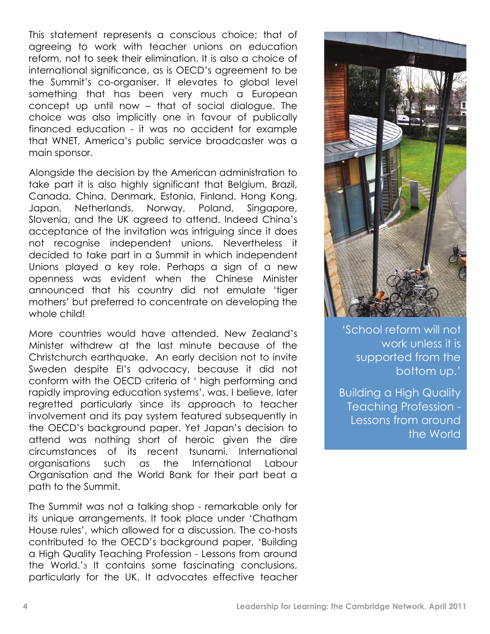This statement represents a conscious choice; that of agreeing to work with teacher unions on education reform, not to seek their elimination. It is also a choice of international significance, as is OECD's agreement to be the Summit's co-organiser. It elevates to global level something that has been very much a European concept up until now – that of social dialogue. The choice was also implicitly one in favour of publically financed education - it was no accident for example that WNET, America's public service broadcaster was a main sponsor.

Alongside the decision by the American administration to take part it is also highly significant that Belgium, Brazil, Canada, China, Denmark, Estonia, Finland, Hong Kong, Japan, Netherlands, Norway, Poland, Singapore, Slovenia, and the UK agreed to attend. Indeed China's acceptance of the invitation was intriguing since it does not recognise independent unions. Nevertheless it decided to take part in a Summit in which independent Unions played a key role. Perhaps a sign of a new openness was evident when the Chinese Minister announced that his country did not emulate 'tiger mothers' but preferred to concentrate on developing the whole child!

More countries would have attended. New Zealand's Minister withdrew at the last minute because of the Christchurch earthquake. An early decision not to invite Sweden despite EI's advocacy, because it did not conform with the OECD criteria of ' high performing and rapidly improving education systems', was, I believe, later regretted particularly since its approach to teacher involvement and its pay system featured subsequently in the OECD's background paper. Yet Japan's decision to attend was nothing short of heroic given the dire circumstances of its recent tsunami. International organisations such as the International Labour Organisation and the World Bank for their part beat a path to the Summit.

The Summit was not a talking shop - remarkable only for its unique arrangements. It took place under 'Chatham House rules', which allowed for a discussion. The co-hosts contributed to the OECD's background paper, 'Building a High Quality Teaching Profession - Lessons from around the World.'3 It contains some fascinating conclusions, particularly for the UK. It advocates effective teacher



'School reform will not work unless it is supported from the bottom up.'

Building a High Quality Teaching Profession - Lessons from around the World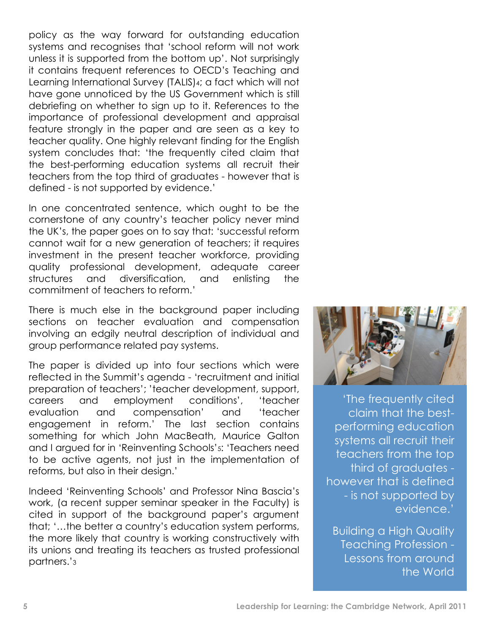policy as the way forward for outstanding education systems and recognises that 'school reform will not work unless it is supported from the bottom up'. Not surprisingly it contains frequent references to OECD's Teaching and Learning International Survey (TALIS)4; a fact which will not have gone unnoticed by the US Government which is still debriefing on whether to sign up to it. References to the importance of professional development and appraisal feature strongly in the paper and are seen as a key to teacher quality. One highly relevant finding for the English system concludes that: 'the frequently cited claim that the best-performing education systems all recruit their teachers from the top third of graduates - however that is defined - is not supported by evidence.'

In one concentrated sentence, which ought to be the cornerstone of any country's teacher policy never mind the UK's, the paper goes on to say that: 'successful reform cannot wait for a new generation of teachers; it requires investment in the present teacher workforce, providing quality professional development, adequate career structures and diversification, and enlisting the commitment of teachers to reform.'

There is much else in the background paper including sections on teacher evaluation and compensation involving an edgily neutral description of individual and group performance related pay systems.

The paper is divided up into four sections which were reflected in the Summit's agenda - 'recruitment and initial preparation of teachers'; 'teacher development, support, careers and employment conditions', 'teacher evaluation and compensation' and 'teacher engagement in reform.' The last section contains something for which John MacBeath, Maurice Galton and I argued for in 'Reinventing Schools'5: 'Teachers need to be active agents, not just in the implementation of reforms, but also in their design.'

Indeed 'Reinventing Schools' and Professor Nina Bascia's work, (a recent supper seminar speaker in the Faculty) is cited in support of the background paper's argument that; '…the better a country's education system performs, the more likely that country is working constructively with its unions and treating its teachers as trusted professional partners.'3



'The frequently cited claim that the bestperforming education systems all recruit their teachers from the top third of graduates however that is defined - is not supported by evidence.'

Building a High Quality Teaching Profession - Lessons from around the World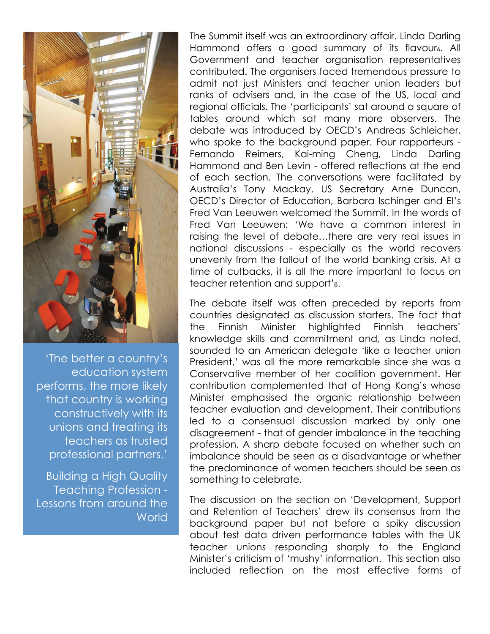

'The better a country's education system performs, the more likely that country is working constructively with its unions and treating its teachers as trusted professional partners.'

Building a High Quality Teaching Profession - Lessons from around the **World** 

The Summit itself was an extraordinary affair. Linda Darling Hammond offers a good summary of its flavour<sub>6</sub>. All Government and teacher organisation representatives contributed. The organisers faced tremendous pressure to admit not just Ministers and teacher union leaders but ranks of advisers and, in the case of the US, local and regional officials. The 'participants' sat around a square of tables around which sat many more observers. The debate was introduced by OECD's Andreas Schleicher, who spoke to the background paper. Four rapporteurs - Fernando Reimers, Kai-ming Cheng, Linda Darling Hammond and Ben Levin - offered reflections at the end of each section. The conversations were facilitated by Australia's Tony Mackay. US Secretary Arne Duncan, OECD's Director of Education, Barbara Ischinger and EI's Fred Van Leeuwen welcomed the Summit. In the words of Fred Van Leeuwen: 'We have a common interest in raising the level of debate…there are very real issues in national discussions - especially as the world recovers unevenly from the fallout of the world banking crisis. At a time of cutbacks, it is all the more important to focus on teacher retention and support'8.

The debate itself was often preceded by reports from countries designated as discussion starters. The fact that the Finnish Minister highlighted Finnish teachers' knowledge skills and commitment and, as Linda noted, sounded to an American delegate 'like a teacher union President,' was all the more remarkable since she was a Conservative member of her coalition government. Her contribution complemented that of Hong Kong's whose Minister emphasised the organic relationship between teacher evaluation and development. Their contributions led to a consensual discussion marked by only one disagreement - that of gender imbalance in the teaching profession. A sharp debate focused on whether such an imbalance should be seen as a disadvantage or whether the predominance of women teachers should be seen as something to celebrate.

The discussion on the section on 'Development, Support and Retention of Teachers' drew its consensus from the background paper but not before a spiky discussion about test data driven performance tables with the UK teacher unions responding sharply to the England Minister's criticism of 'mushy' information. This section also included reflection on the most effective forms of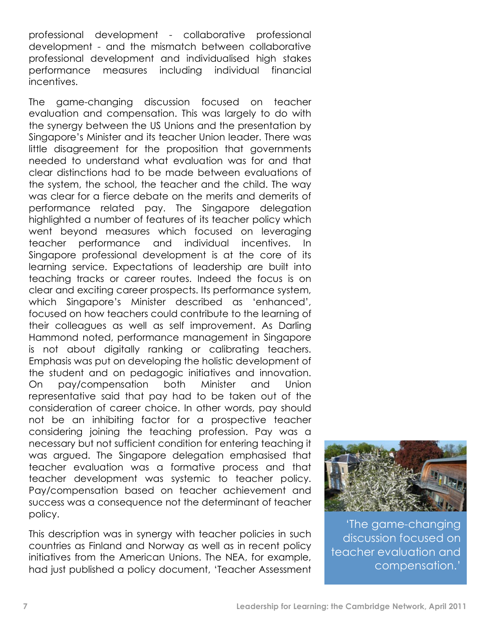professional development - collaborative professional development - and the mismatch between collaborative professional development and individualised high stakes performance measures including individual financial incentives.

The game-changing discussion focused on teacher evaluation and compensation. This was largely to do with the synergy between the US Unions and the presentation by Singapore's Minister and its teacher Union leader. There was little disagreement for the proposition that governments needed to understand what evaluation was for and that clear distinctions had to be made between evaluations of the system, the school, the teacher and the child. The way was clear for a fierce debate on the merits and demerits of performance related pay. The Singapore delegation highlighted a number of features of its teacher policy which went beyond measures which focused on leveraging teacher performance and individual incentives. In Singapore professional development is at the core of its learning service. Expectations of leadership are built into teaching tracks or career routes. Indeed the focus is on clear and exciting career prospects. Its performance system, which Singapore's Minister described as 'enhanced', focused on how teachers could contribute to the learning of their colleagues as well as self improvement. As Darling Hammond noted, performance management in Singapore is not about digitally ranking or calibrating teachers. Emphasis was put on developing the holistic development of the student and on pedagogic initiatives and innovation. On pay/compensation both Minister and Union representative said that pay had to be taken out of the consideration of career choice. In other words, pay should not be an inhibiting factor for a prospective teacher considering joining the teaching profession. Pay was a necessary but not sufficient condition for entering teaching it was argued. The Singapore delegation emphasised that teacher evaluation was a formative process and that teacher development was systemic to teacher policy. Pay/compensation based on teacher achievement and success was a consequence not the determinant of teacher policy.

This description was in synergy with teacher policies in such countries as Finland and Norway as well as in recent policy initiatives from the American Unions. The NEA, for example, had just published a policy document, 'Teacher Assessment



'The game-changing discussion focused on teacher evaluation and compensation.'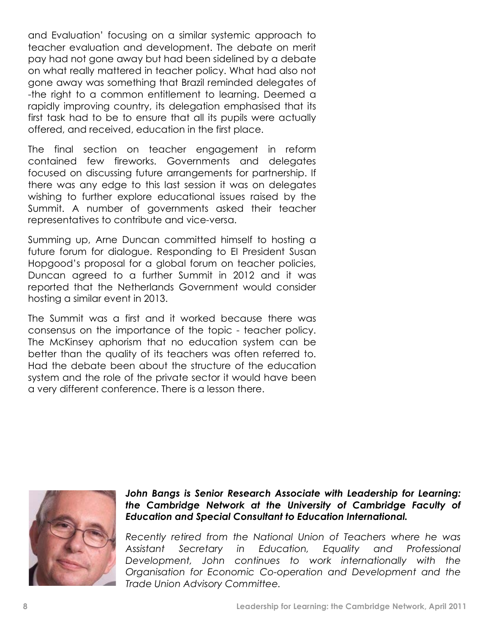and Evaluation' focusing on a similar systemic approach to teacher evaluation and development. The debate on merit pay had not gone away but had been sidelined by a debate on what really mattered in teacher policy. What had also not gone away was something that Brazil reminded delegates of -the right to a common entitlement to learning. Deemed a rapidly improving country, its delegation emphasised that its first task had to be to ensure that all its pupils were actually offered, and received, education in the first place.

The final section on teacher engagement in reform contained few fireworks. Governments and delegates focused on discussing future arrangements for partnership. If there was any edge to this last session it was on delegates wishing to further explore educational issues raised by the Summit. A number of governments asked their teacher representatives to contribute and vice-versa.

Summing up, Arne Duncan committed himself to hosting a future forum for dialogue. Responding to EI President Susan Hopgood's proposal for a global forum on teacher policies, Duncan agreed to a further Summit in 2012 and it was reported that the Netherlands Government would consider hosting a similar event in 2013.

The Summit was a first and it worked because there was consensus on the importance of the topic - teacher policy. The McKinsey aphorism that no education system can be better than the quality of its teachers was often referred to. Had the debate been about the structure of the education system and the role of the private sector it would have been a very different conference. There is a lesson there.



## *John Bangs is Senior Research Associate with Leadership for Learning: the Cambridge Network at the University of Cambridge Faculty of Education and Special Consultant to Education International.*

*Recently retired from the National Union of Teachers where he was Assistant Secretary in Education, Equality and Professional Development, John continues to work internationally with the Organisation for Economic Co-operation and Development and the Trade Union Advisory Committee.*